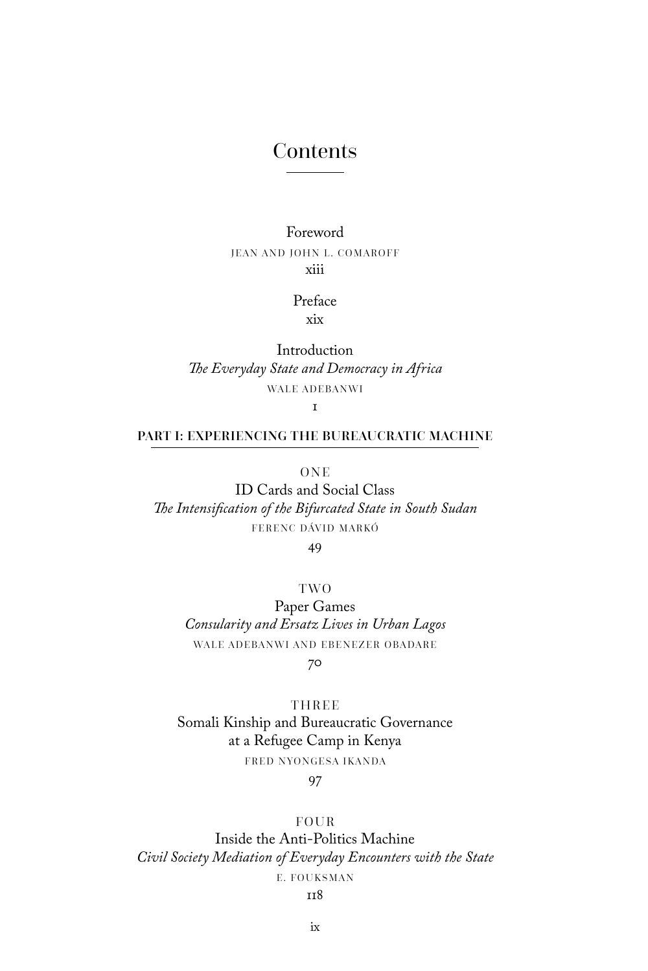# Contents

### Foreword JEAN AND JOHN L. COMAROFF xiii

### Preface

xix

Introduction *The Everyday State and Democracy in Africa* WALE ADEBANWI

 $\mathbf{r}$ 

### PART I: EXPERIENCING THE BUREAUCRATIC MACHINE

**ONE** 

ID Cards and Social Class *The Intensification of the Bifurcated State in South Sudan* FERENC DÁVID MARKÓ

49

TWO

Paper Games *Consularity and Ersatz Lives in Urban Lagos* WALE ADEBANWI AND EBENEZER OBADARE 70

**THREE** Somali Kinship and Bureaucratic Governance at a Refugee Camp in Kenya FRED NYONGESA IKANDA

97

#### FOUR

Inside the Anti-Politics Machine *Civil Society Mediation of Everyday Encounters with the State* E. FOUKSMAN

#### 118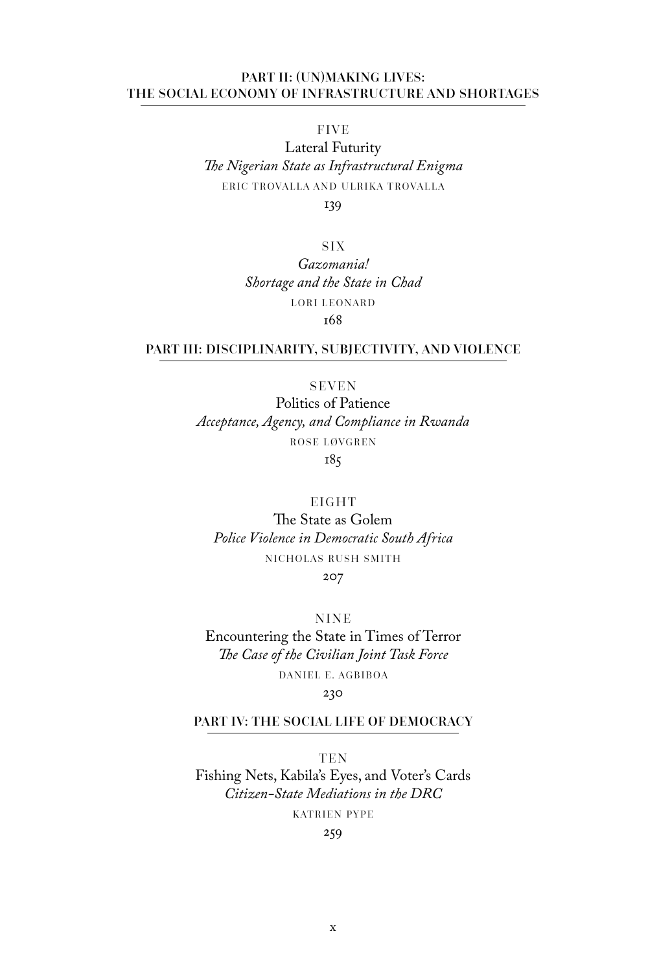#### PART II: (UN)MAKING LIVES: THE SOCIAL ECONOMY OF INFRASTRUCTURE AND SHORTAGES

FIVE

Lateral Futurity *The Nigerian State as Infrastructural Enigma* ERIC TROVALLA AND ULRIKA TROVALLA

139

SIX *Gazomania! Shortage and the State in Chad* LORI LEONARD 168

#### PART III: DISCIPLINARITY, SUBJECTIVITY, AND VIOLENCE

SEVEN

Politics of Patience *Acceptance, Agency, and Compliance in Rwanda* ROSE LØVGREN 185

EIGHT

The State as Golem *Police Violence in Democratic South Africa* NICHOLAS RUSH SMITH 207

NINE Encountering the State in Times of Terror *The Case of the Civilian Joint Task Force* DANIEL E. AGBIBOA

#### 230

#### PART IV: THE SOCIAL LIFE OF DEMOCRACY

**TEN** Fishing Nets, Kabila's Eyes, and Voter's Cards *Citizen-State Mediations in the DRC* KATRIEN PYPE

259